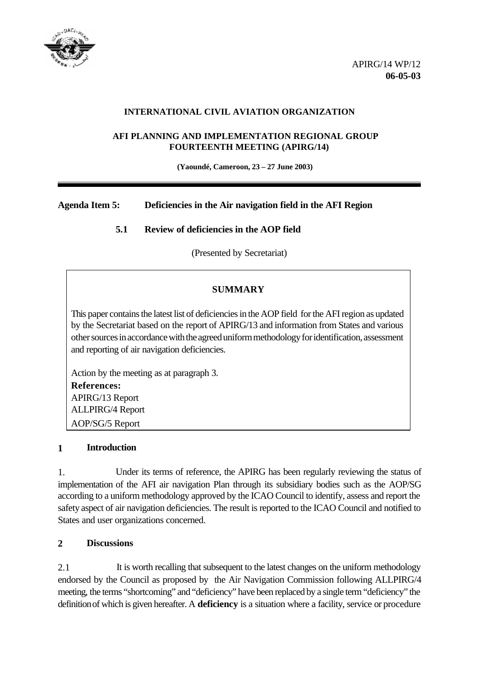

### **INTERNATIONAL CIVIL AVIATION ORGANIZATION**

#### **AFI PLANNING AND IMPLEMENTATION REGIONAL GROUP FOURTEENTH MEETING (APIRG/14)**

 **(Yaoundé, Cameroon, 23 – 27 June 2003)**

## **Agenda Item 5: Deficiencies in the Air navigation field in the AFI Region**

## **5.1 Review of deficiencies in the AOP field**

(Presented by Secretariat)

## **SUMMARY**

This paper contains the latest list of deficiencies in the AOP field for the AFI region as updated by the Secretariat based on the report of APIRG/13 and information from States and various other sources in accordance with the agreed uniform methodology for identification, assessment and reporting of air navigation deficiencies.

Action by the meeting as at paragraph 3. **References:** APIRG/13 Report ALLPIRG/4 Report AOP/SG/5 Report

#### **1 Introduction**

1. Under its terms of reference, the APIRG has been regularly reviewing the status of implementation of the AFI air navigation Plan through its subsidiary bodies such as the AOP/SG according to a uniform methodology approved by the ICAO Council to identify, assess and report the safety aspect of air navigation deficiencies. The result is reported to the ICAO Council and notified to States and user organizations concerned.

#### **2 Discussions**

2.1 It is worth recalling that subsequent to the latest changes on the uniform methodology endorsed by the Council as proposed by the Air Navigation Commission following ALLPIRG/4 meeting, the terms "shortcoming" and "deficiency" have been replaced by a single term "deficiency" the definition of which is given hereafter. A **deficiency** is a situation where a facility, service or procedure